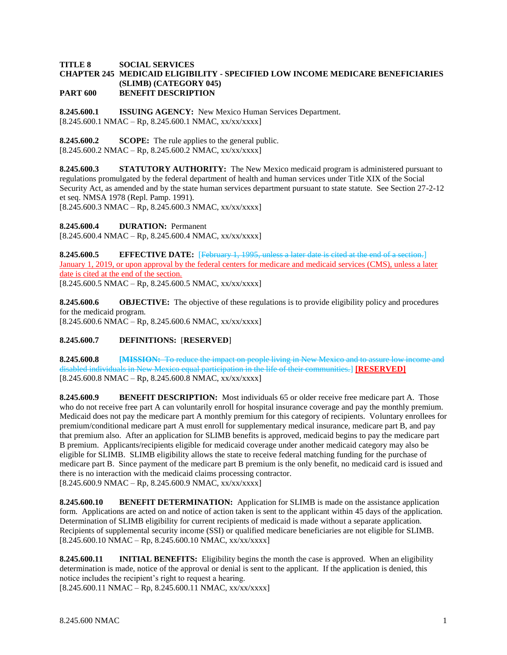## **TITLE 8 SOCIAL SERVICES CHAPTER 245 MEDICAID ELIGIBILITY - SPECIFIED LOW INCOME MEDICARE BENEFICIARIES (SLIMB) (CATEGORY 045) PART 600 BENEFIT DESCRIPTION**

**8.245.600.1 ISSUING AGENCY:** New Mexico Human Services Department.  $[8.245.600.1 \text{ NMAC} - \text{Rp}, 8.245.600.1 \text{ NMAC}, xx/xxxxx]$ 

**8.245.600.2 SCOPE:** The rule applies to the general public.  $[8.245.600.2 \text{ NMAC} - \text{Rp}, 8.245.600.2 \text{ NMAC}, xx/xxxxx]$ 

**8.245.600.3 STATUTORY AUTHORITY:** The New Mexico medicaid program is administered pursuant to regulations promulgated by the federal department of health and human services under Title XIX of the Social Security Act, as amended and by the state human services department pursuant to state statute. See Section 27-2-12 et seq. NMSA 1978 (Repl. Pamp. 1991).  $[8.245.600.3 \text{ NMAC} - \text{Rp}, 8.245.600.3 \text{ NMAC}, xx/xxxxx]$ 

**8.245.600.4 DURATION:** Permanent

 $[8.245.600.4 \text{ NMAC} - \text{Rp}, 8.245.600.4 \text{ NMAC}, xx/xx/xxxx]$ 

**8.245.600.5 EFFECTIVE DATE:** [February 1, 1995, unless a later date is cited at the end of a section.] January 1, 2019, or upon approval by the federal centers for medicare and medicaid services (CMS), unless a later date is cited at the end of the section.  $[8.245.600.5 \text{ NMAC} - \text{Rp}, 8.245.600.5 \text{ NMAC}, xx/xxxxx]$ 

**8.245.600.6 OBJECTIVE:** The objective of these regulations is to provide eligibility policy and procedures for the medicaid program.  $[8.245.600.6 \text{ NMAC} - \text{Rp}, 8.245.600.6 \text{ NMAC}, xx/xxxxx]$ 

## **8.245.600.7 DEFINITIONS:** [**RESERVED**]

**8.245.600.8 [MISSION:** To reduce the impact on people living in New Mexico and to assure low income and disabled individuals in New Mexico equal participation in the life of their communities.] **[RESERVED]**  $[8.245.600.8 \text{ NMAC} - \text{Rp}, 8.245.600.8 \text{ NMAC}, xx/xxxxx]$ 

**8.245.600.9 BENEFIT DESCRIPTION:** Most individuals 65 or older receive free medicare part A. Those who do not receive free part A can voluntarily enroll for hospital insurance coverage and pay the monthly premium. Medicaid does not pay the medicare part A monthly premium for this category of recipients. Voluntary enrollees for premium/conditional medicare part A must enroll for supplementary medical insurance, medicare part B, and pay that premium also. After an application for SLIMB benefits is approved, medicaid begins to pay the medicare part B premium. Applicants/recipients eligible for medicaid coverage under another medicaid category may also be eligible for SLIMB. SLIMB eligibility allows the state to receive federal matching funding for the purchase of medicare part B. Since payment of the medicare part B premium is the only benefit, no medicaid card is issued and there is no interaction with the medicaid claims processing contractor.  $[8.245.600.9 \text{ NMAC} - \text{Rp}, 8.245.600.9 \text{ NMAC}, xx/xxxxx]$ 

**8.245.600.10 BENEFIT DETERMINATION:** Application for SLIMB is made on the assistance application form. Applications are acted on and notice of action taken is sent to the applicant within 45 days of the application. Determination of SLIMB eligibility for current recipients of medicaid is made without a separate application. Recipients of supplemental security income (SSI) or qualified medicare beneficiaries are not eligible for SLIMB. [8.245.600.10 NMAC – Rp, 8.245.600.10 NMAC, xx/xx/xxxx]

**8.245.600.11 INITIAL BENEFITS:** Eligibility begins the month the case is approved. When an eligibility determination is made, notice of the approval or denial is sent to the applicant. If the application is denied, this notice includes the recipient's right to request a hearing.

 $[8.245.600.11 \text{ NMAC} - \text{Rp}, 8.245.600.11 \text{ NMAC}, xx/xxxxx]$